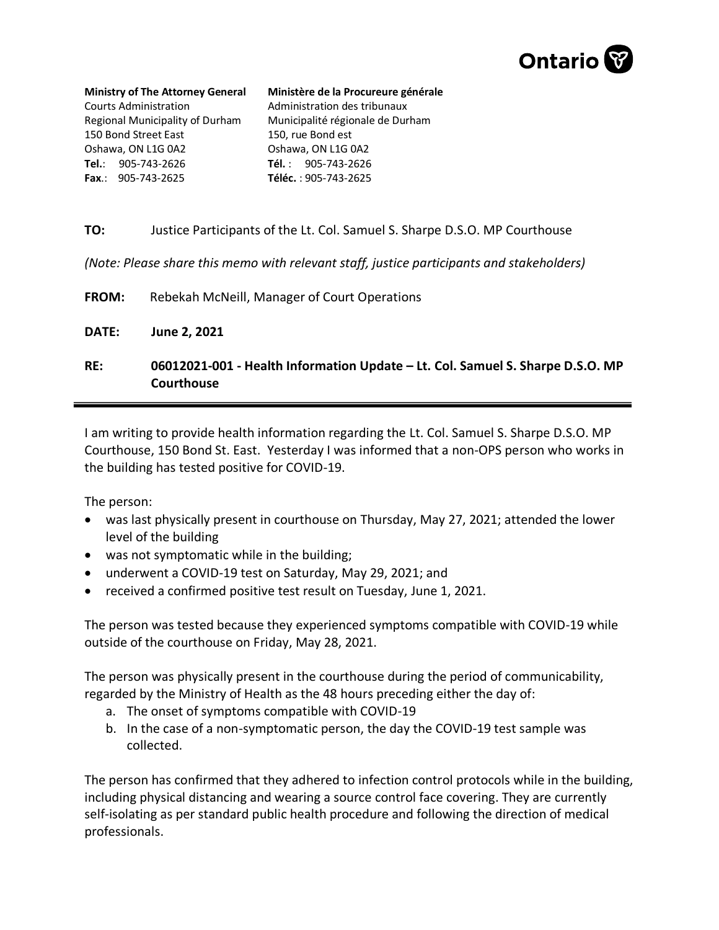

**Ministry of The Attorney General** Courts Administration Regional Municipality of Durham 150 Bond Street East Oshawa, ON L1G 0A2 **Tel.**: 905-743-2626 **Fax**.: 905-743-2625

**Ministère de la Procureure générale**  Administration des tribunaux Municipalité régionale de Durham 150, rue Bond est Oshawa, ON L1G 0A2 **Tél.** : 905-743-2626 **Téléc.** : 905-743-2625

## **TO:** Justice Participants of the Lt. Col. Samuel S. Sharpe D.S.O. MP Courthouse

*(Note: Please share this memo with relevant staff, justice participants and stakeholders)*

**FROM:** Rebekah McNeill, Manager of Court Operations

**DATE: June 2, 2021**

**RE: 06012021-001 - Health Information Update – Lt. Col. Samuel S. Sharpe D.S.O. MP Courthouse**

I am writing to provide health information regarding the Lt. Col. Samuel S. Sharpe D.S.O. MP Courthouse, 150 Bond St. East. Yesterday I was informed that a non-OPS person who works in the building has tested positive for COVID-19.

The person:

- was last physically present in courthouse on Thursday, May 27, 2021; attended the lower level of the building
- was not symptomatic while in the building;
- underwent a COVID-19 test on Saturday, May 29, 2021; and
- received a confirmed positive test result on Tuesday, June 1, 2021.

The person was tested because they experienced symptoms compatible with COVID-19 while outside of the courthouse on Friday, May 28, 2021.

The person was physically present in the courthouse during the period of communicability, regarded by the Ministry of Health as the 48 hours preceding either the day of:

- a. The onset of symptoms compatible with COVID-19
- b. In the case of a non-symptomatic person, the day the COVID-19 test sample was collected.

The person has confirmed that they adhered to infection control protocols while in the building, including physical distancing and wearing a source control face covering. They are currently self-isolating as per standard public health procedure and following the direction of medical professionals.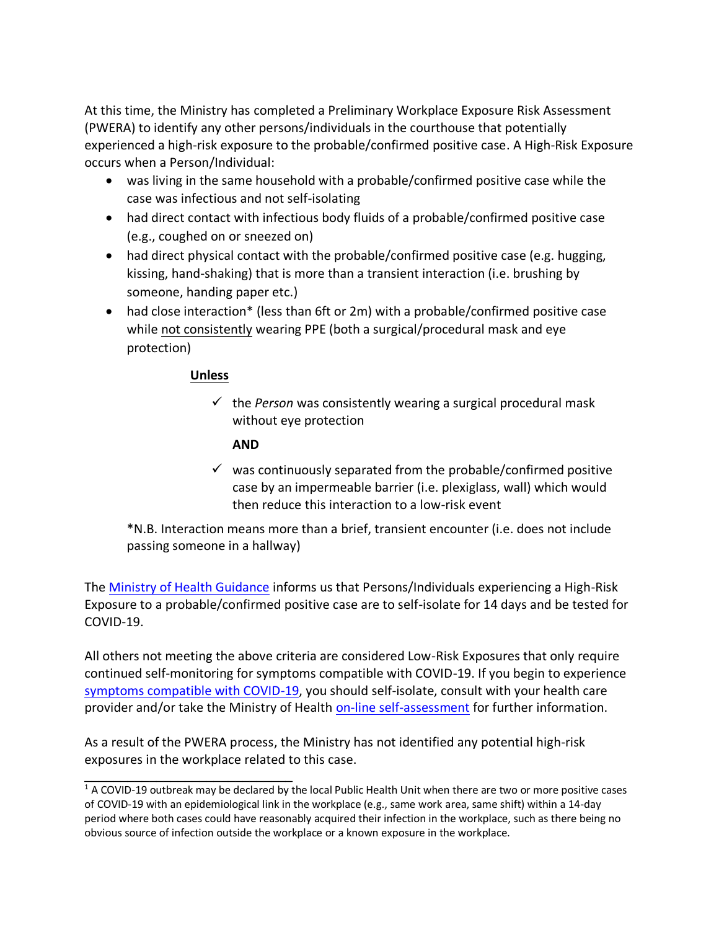At this time, the Ministry has completed a Preliminary Workplace Exposure Risk Assessment (PWERA) to identify any other persons/individuals in the courthouse that potentially experienced a high-risk exposure to the probable/confirmed positive case. A High-Risk Exposure occurs when a Person/Individual:

- was living in the same household with a probable/confirmed positive case while the case was infectious and not self-isolating
- had direct contact with infectious body fluids of a probable/confirmed positive case (e.g., coughed on or sneezed on)
- had direct physical contact with the probable/confirmed positive case (e.g. hugging, kissing, hand-shaking) that is more than a transient interaction (i.e. brushing by someone, handing paper etc.)
- had close interaction<sup>\*</sup> (less than 6ft or 2m) with a probable/confirmed positive case while not consistently wearing PPE (both a surgical/procedural mask and eye protection)

## **Unless**

\_\_\_\_\_\_\_\_\_\_\_\_\_\_\_\_\_\_\_\_\_\_\_\_\_\_\_\_\_

 $\checkmark$  the *Person* was consistently wearing a surgical procedural mask without eye protection

## **AND**

 $\checkmark$  was continuously separated from the probable/confirmed positive case by an impermeable barrier (i.e. plexiglass, wall) which would then reduce this interaction to a low-risk event

\*N.B. Interaction means more than a brief, transient encounter (i.e. does not include passing someone in a hallway)

The [Ministry of Health Guidance](http://www.health.gov.on.ca/en/pro/programs/publichealth/coronavirus/docs/contact_mngmt/management_cases_contacts.pdf) informs us that Persons/Individuals experiencing a High-Risk Exposure to a probable/confirmed positive case are to self-isolate for 14 days and be tested for COVID-19.

All others not meeting the above criteria are considered Low-Risk Exposures that only require continued self-monitoring for symptoms compatible with COVID-19. If you begin to experience [symptoms compatible with COVID-19,](https://www.ontario.ca/page/covid-19-stop-spread) you should self-isolate, consult with your health care provider and/or take the Ministry of Health [on-line self-assessment](https://covid-19.ontario.ca/self-assessment/) for further information.

As a result of the PWERA process, the Ministry has not identified any potential high-risk exposures in the workplace related to this case.

 $1$  A COVID-19 outbreak may be declared by the local Public Health Unit when there are two or more positive cases of COVID-19 with an epidemiological link in the workplace (e.g., same work area, same shift) within a 14-day period where both cases could have reasonably acquired their infection in the workplace, such as there being no obvious source of infection outside the workplace or a known exposure in the workplace.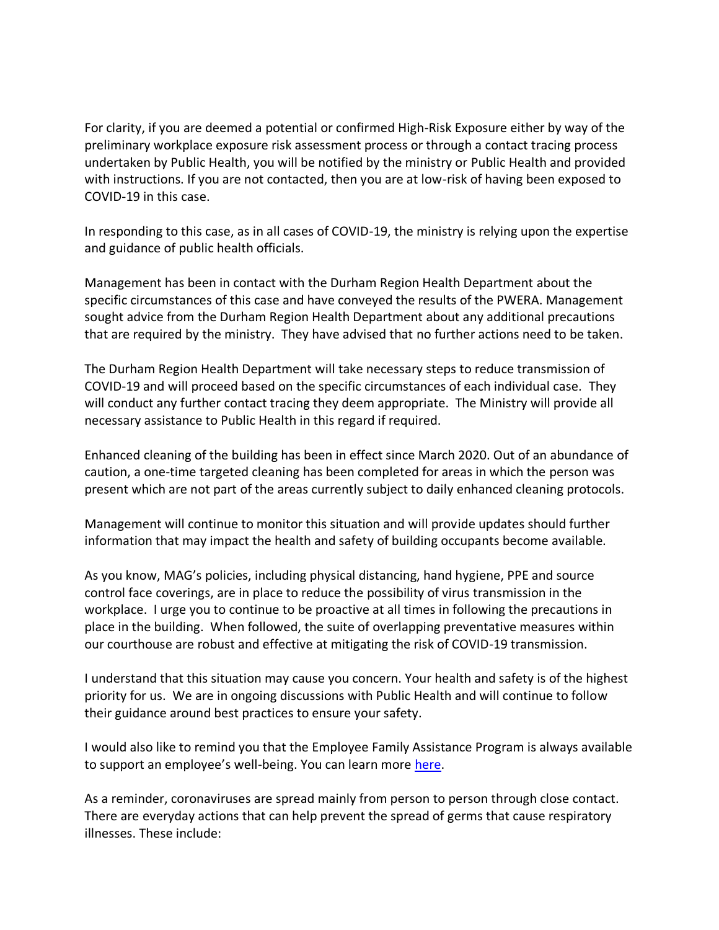For clarity, if you are deemed a potential or confirmed High-Risk Exposure either by way of the preliminary workplace exposure risk assessment process or through a contact tracing process undertaken by Public Health, you will be notified by the ministry or Public Health and provided with instructions. If you are not contacted, then you are at low-risk of having been exposed to COVID-19 in this case.

In responding to this case, as in all cases of COVID-19, the ministry is relying upon the expertise and guidance of public health officials.

Management has been in contact with the Durham Region Health Department about the specific circumstances of this case and have conveyed the results of the PWERA. Management sought advice from the Durham Region Health Department about any additional precautions that are required by the ministry. They have advised that no further actions need to be taken.

The Durham Region Health Department will take necessary steps to reduce transmission of COVID-19 and will proceed based on the specific circumstances of each individual case. They will conduct any further contact tracing they deem appropriate. The Ministry will provide all necessary assistance to Public Health in this regard if required.

Enhanced cleaning of the building has been in effect since March 2020. Out of an abundance of caution, a one-time targeted cleaning has been completed for areas in which the person was present which are not part of the areas currently subject to daily enhanced cleaning protocols.

Management will continue to monitor this situation and will provide updates should further information that may impact the health and safety of building occupants become available.

As you know, MAG's policies, including physical distancing, hand hygiene, PPE and source control face coverings, are in place to reduce the possibility of virus transmission in the workplace. I urge you to continue to be proactive at all times in following the precautions in place in the building. When followed, the suite of overlapping preventative measures within our courthouse are robust and effective at mitigating the risk of COVID-19 transmission.

I understand that this situation may cause you concern. Your health and safety is of the highest priority for us. We are in ongoing discussions with Public Health and will continue to follow their guidance around best practices to ensure your safety.

I would also like to remind you that the Employee Family Assistance Program is always available to support an employee's well-being. You can learn more [here.](https://intra.ontario.ca/ops/efap)

As a reminder, coronaviruses are spread mainly from person to person through close contact. There are everyday actions that can help prevent the spread of germs that cause respiratory illnesses. These include: